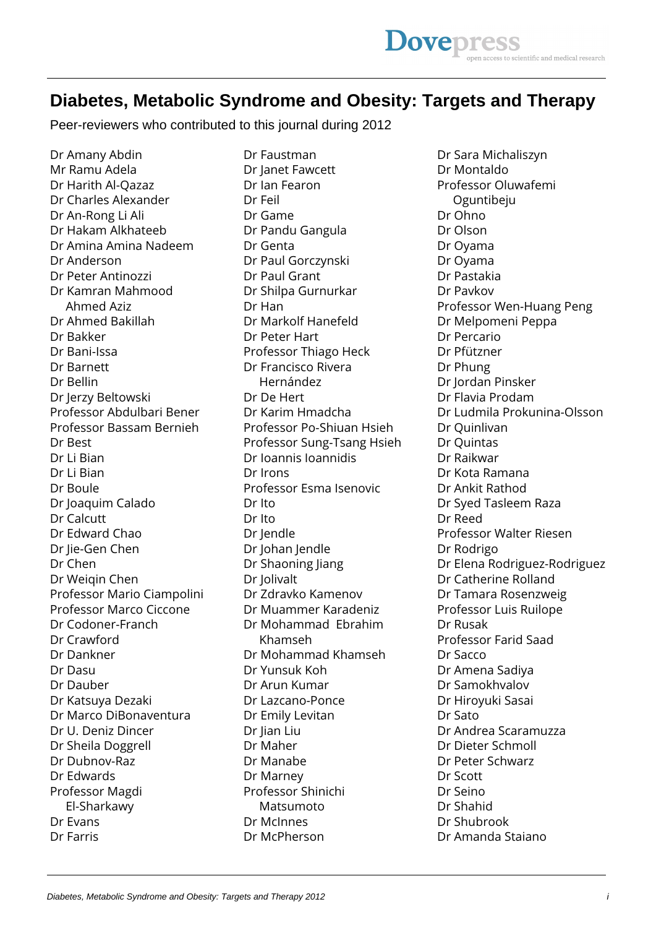## **Diabetes, Metabolic Syndrome and Obesity: Targets and Therapy**

Peer-reviewers who contributed to this journal during 2012

Dr Amany Abdin Mr Ramu Adela Dr Harith Al-Qazaz Dr Charles Alexander Dr An-Rong Li Ali Dr Hakam Alkhateeb Dr Amina Amina Nadeem Dr Anderson Dr Peter Antinozzi Dr Kamran Mahmood Ahmed Aziz Dr Ahmed Bakillah Dr Bakker Dr Bani-Issa Dr Barnett Dr Bellin Dr Jerzy Beltowski Professor Abdulbari Bener Professor Bassam Bernieh Dr Best Dr Li Bian Dr Li Bian Dr Boule Dr Joaquim Calado Dr Calcutt Dr Edward Chao Dr Jie-Gen Chen Dr Chen Dr Weiqin Chen Professor Mario Ciampolini Professor Marco Ciccone Dr Codoner-Franch Dr Crawford Dr Dankner Dr Dasu Dr Dauber Dr Katsuya Dezaki Dr Marco DiBonaventura Dr U. Deniz Dincer Dr Sheila Doggrell Dr Dubnov-Raz Dr Edwards Professor Magdi El-Sharkawy Dr Evans Dr Farris

Dr Faustman Dr Janet Fawcett Dr Ian Fearon Dr Feil Dr Game Dr Pandu Gangula Dr Genta Dr Paul Gorczynski Dr Paul Grant Dr Shilpa Gurnurkar Dr Han Dr Markolf Hanefeld Dr Peter Hart Professor Thiago Heck Dr Francisco Rivera Hernández Dr De Hert Dr Karim Hmadcha Professor Po-Shiuan Hsieh Professor Sung-Tsang Hsieh Dr Ioannis Ioannidis Dr Irons Professor Esma Isenovic Dr Ito Dr Ito Dr Jendle Dr Johan Jendle Dr Shaoning Jiang Dr Jolivalt Dr Zdravko Kamenov Dr Muammer Karadeniz Dr Mohammad Ebrahim Khamseh Dr Mohammad Khamseh Dr Yunsuk Koh Dr Arun Kumar Dr Lazcano-Ponce Dr Emily Levitan Dr Jian Liu Dr Maher Dr Manabe Dr Marney Professor Shinichi Matsumoto Dr McInnes Dr McPherson

Dr Sara Michaliszyn Dr Montaldo Professor Oluwafemi Oguntibeju Dr Ohno Dr Olson Dr Oyama Dr Oyama Dr Pastakia Dr Pavkov Professor Wen-Huang Peng Dr Melpomeni Peppa Dr Percario Dr Pfützner Dr Phung Dr Jordan Pinsker Dr Flavia Prodam Dr Ludmila Prokunina-Olsson Dr Quinlivan Dr Quintas Dr Raikwar Dr Kota Ramana Dr Ankit Rathod Dr Syed Tasleem Raza Dr Reed Professor Walter Riesen Dr Rodrigo Dr Elena Rodriguez-Rodriguez Dr Catherine Rolland Dr Tamara Rosenzweig Professor Luis Ruilope Dr Rusak Professor Farid Saad Dr Sacco Dr Amena Sadiya Dr Samokhvalov Dr Hiroyuki Sasai Dr Sato Dr Andrea Scaramuzza Dr Dieter Schmoll Dr Peter Schwarz Dr Scott Dr Seino Dr Shahid Dr Shubrook Dr Amanda Staiano